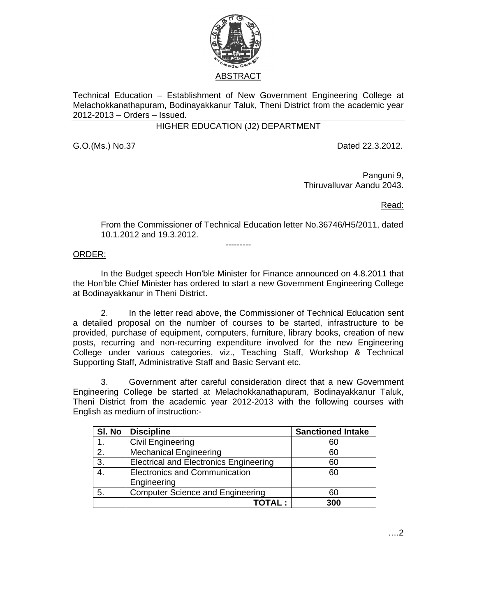

Technical Education – Establishment of New Government Engineering College at Melachokkanathapuram, Bodinayakkanur Taluk, Theni District from the academic year 2012-2013 – Orders – Issued.

## HIGHER EDUCATION (J2) DEPARTMENT

G.O.(Ms.) No.37 Dated 22.3.2012.

Panguni 9, Thiruvalluvar Aandu 2043.

Read:

From the Commissioner of Technical Education letter No.36746/H5/2011, dated 10.1.2012 and 19.3.2012.

ORDER:

 In the Budget speech Hon'ble Minister for Finance announced on 4.8.2011 that the Hon'ble Chief Minister has ordered to start a new Government Engineering College at Bodinayakkanur in Theni District.

---------

 2. In the letter read above, the Commissioner of Technical Education sent a detailed proposal on the number of courses to be started, infrastructure to be provided, purchase of equipment, computers, furniture, library books, creation of new posts, recurring and non-recurring expenditure involved for the new Engineering College under various categories, viz., Teaching Staff, Workshop & Technical Supporting Staff, Administrative Staff and Basic Servant etc.

3. Government after careful consideration direct that a new Government Engineering College be started at Melachokkanathapuram, Bodinayakkanur Taluk, Theni District from the academic year 2012-2013 with the following courses with English as medium of instruction:-

| SI. No | <b>Discipline</b>                             | <b>Sanctioned Intake</b> |
|--------|-----------------------------------------------|--------------------------|
|        | <b>Civil Engineering</b>                      | 60                       |
| 2.     | <b>Mechanical Engineering</b>                 | 60                       |
| 3.     | <b>Electrical and Electronics Engineering</b> | 60                       |
|        | <b>Electronics and Communication</b>          | 60                       |
|        | Engineering                                   |                          |
| 5.     | <b>Computer Science and Engineering</b>       | 60                       |
|        | ΤΟΤΑΙ ·                                       | 300                      |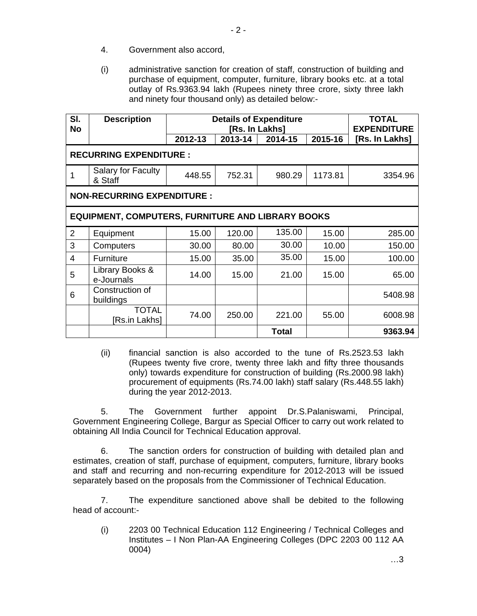- 4. Government also accord,
- (i) administrative sanction for creation of staff, construction of building and purchase of equipment, computer, furniture, library books etc. at a total outlay of Rs.9363.94 lakh (Rupees ninety three crore, sixty three lakh and ninety four thousand only) as detailed below:-

| SI.<br><b>No</b>                                         | <b>Description</b>                   | <b>Details of Expenditure</b><br>[Rs. In Lakhs] |         |              |         | <b>TOTAL</b><br><b>EXPENDITURE</b> |  |  |  |
|----------------------------------------------------------|--------------------------------------|-------------------------------------------------|---------|--------------|---------|------------------------------------|--|--|--|
|                                                          |                                      | 2012-13                                         | 2013-14 | 2014-15      | 2015-16 | [Rs. In Lakhs]                     |  |  |  |
| <b>RECURRING EXPENDITURE:</b>                            |                                      |                                                 |         |              |         |                                    |  |  |  |
|                                                          | <b>Salary for Faculty</b><br>& Staff | 448.55                                          | 752.31  | 980.29       | 1173.81 | 3354.96                            |  |  |  |
| <b>NON-RECURRING EXPENDITURE:</b>                        |                                      |                                                 |         |              |         |                                    |  |  |  |
| <b>EQUIPMENT, COMPUTERS, FURNITURE AND LIBRARY BOOKS</b> |                                      |                                                 |         |              |         |                                    |  |  |  |
| $\overline{2}$                                           | Equipment                            | 15.00                                           | 120.00  | 135.00       | 15.00   | 285.00                             |  |  |  |
| 3                                                        | Computers                            | 30.00                                           | 80.00   | 30.00        | 10.00   | 150.00                             |  |  |  |
| 4                                                        | Furniture                            | 15.00                                           | 35.00   | 35.00        | 15.00   | 100.00                             |  |  |  |
| 5                                                        | Library Books &<br>e-Journals        | 14.00                                           | 15.00   | 21.00        | 15.00   | 65.00                              |  |  |  |
| 6                                                        | Construction of<br>buildings         |                                                 |         |              |         | 5408.98                            |  |  |  |
|                                                          | <b>TOTAL</b><br>[Rs.in Lakhs]        | 74.00                                           | 250.00  | 221.00       | 55.00   | 6008.98                            |  |  |  |
|                                                          |                                      |                                                 |         | <b>Total</b> |         | 9363.94                            |  |  |  |

(ii) financial sanction is also accorded to the tune of Rs.2523.53 lakh (Rupees twenty five crore, twenty three lakh and fifty three thousands only) towards expenditure for construction of building (Rs.2000.98 lakh) procurement of equipments (Rs.74.00 lakh) staff salary (Rs.448.55 lakh) during the year 2012-2013.

5. The Government further appoint Dr.S.Palaniswami, Principal, Government Engineering College, Bargur as Special Officer to carry out work related to obtaining All India Council for Technical Education approval.

 6. The sanction orders for construction of building with detailed plan and estimates, creation of staff, purchase of equipment, computers, furniture, library books and staff and recurring and non-recurring expenditure for 2012-2013 will be issued separately based on the proposals from the Commissioner of Technical Education.

 7. The expenditure sanctioned above shall be debited to the following head of account:-

(i) 2203 00 Technical Education 112 Engineering / Technical Colleges and Institutes – I Non Plan-AA Engineering Colleges (DPC 2203 00 112 AA 0004)